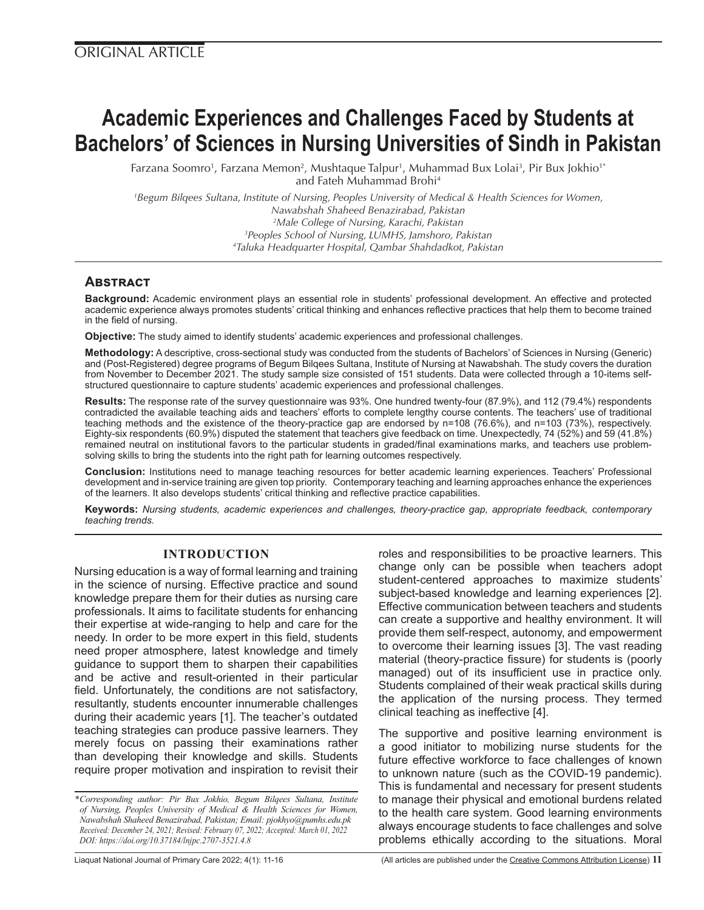# **Academic Experiences and Challenges Faced by Students at Bachelors' of Sciences in Nursing Universities of Sindh in Pakistan**

Farzana Soomro', Farzana Memon<sup>2</sup>, Mushtaque Talpur', Muhammad Bux Lolai<sup>3</sup>, Pir Bux Jokhio'\* and Fateh Muhammad Brohi4

 *Begum Bilqees Sultana, Institute of Nursing, Peoples University of Medical & Health Sciences for Women, Nawabshah Shaheed Benazirabad, Pakistan Male College of Nursing, Karachi, Pakistan Peoples School of Nursing, LUMHS, Jamshoro, Pakistan Taluka Headquarter Hospital, Qambar Shahdadkot, Pakistan*

# **Abstract**

**Background:** Academic environment plays an essential role in students' professional development. An effective and protected academic experience always promotes students' critical thinking and enhances reflective practices that help them to become trained in the field of nursing.

**Objective:** The study aimed to identify students' academic experiences and professional challenges.

**Methodology:** A descriptive, cross-sectional study was conducted from the students of Bachelors' of Sciences in Nursing (Generic) and (Post-Registered) degree programs of Begum Bilqees Sultana, Institute of Nursing at Nawabshah. The study covers the duration from November to December 2021. The study sample size consisted of 151 students. Data were collected through a 10-items selfstructured questionnaire to capture students' academic experiences and professional challenges.

**Results:** The response rate of the survey questionnaire was 93%. One hundred twenty-four (87.9%), and 112 (79.4%) respondents contradicted the available teaching aids and teachers' efforts to complete lengthy course contents. The teachers' use of traditional teaching methods and the existence of the theory-practice gap are endorsed by n=108 (76.6%), and n=103 (73%), respectively. Eighty-six respondents (60.9%) disputed the statement that teachers give feedback on time. Unexpectedly, 74 (52%) and 59 (41.8%) remained neutral on institutional favors to the particular students in graded/final examinations marks, and teachers use problemsolving skills to bring the students into the right path for learning outcomes respectively.

**Conclusion:** Institutions need to manage teaching resources for better academic learning experiences. Teachers' Professional development and in-service training are given top priority. Contemporary teaching and learning approaches enhance the experiences of the learners. It also develops students' critical thinking and reflective practice capabilities.

**Keywords:** *Nursing students, academic experiences and challenges, theory-practice gap, appropriate feedback, contemporary teaching trends.*

## **INTRODUCTION**

Nursing education is a way of formal learning and training in the science of nursing. Effective practice and sound knowledge prepare them for their duties as nursing care professionals. It aims to facilitate students for enhancing their expertise at wide-ranging to help and care for the needy. In order to be more expert in this field, students need proper atmosphere, latest knowledge and timely guidance to support them to sharpen their capabilities and be active and result-oriented in their particular field. Unfortunately, the conditions are not satisfactory, resultantly, students encounter innumerable challenges during their academic years [1]. The teacher's outdated teaching strategies can produce passive learners. They merely focus on passing their examinations rather than developing their knowledge and skills. Students require proper motivation and inspiration to revisit their roles and responsibilities to be proactive learners. This change only can be possible when teachers adopt student-centered approaches to maximize students' subject-based knowledge and learning experiences [2]. Effective communication between teachers and students can create a supportive and healthy environment. It will provide them self-respect, autonomy, and empowerment to overcome their learning issues [3]. The vast reading material (theory-practice fissure) for students is (poorly managed) out of its insufficient use in practice only. Students complained of their weak practical skills during the application of the nursing process. They termed clinical teaching as ineffective [4].

The supportive and positive learning environment is a good initiator to mobilizing nurse students for the future effective workforce to face challenges of known to unknown nature (such as the COVID-19 pandemic). This is fundamental and necessary for present students to manage their physical and emotional burdens related to the health care system. Good learning environments always encourage students to face challenges and solve problems ethically according to the situations. Moral

*<sup>\*</sup>Corresponding author: Pir Bux Jokhio, Begum Bilqees Sultana, Institute of Nursing, Peoples University of Medical & Health Sciences for Women, Nawabshah Shaheed Benazirabad, Pakistan; Email: pjokhyo@pumhs.edu.pk Received: December 24, 2021; Revised: February 07, 2022; Accepted: March 01, 2022 DOI: https://doi.org/10.37184/lnjpc.2707-3521.4.8*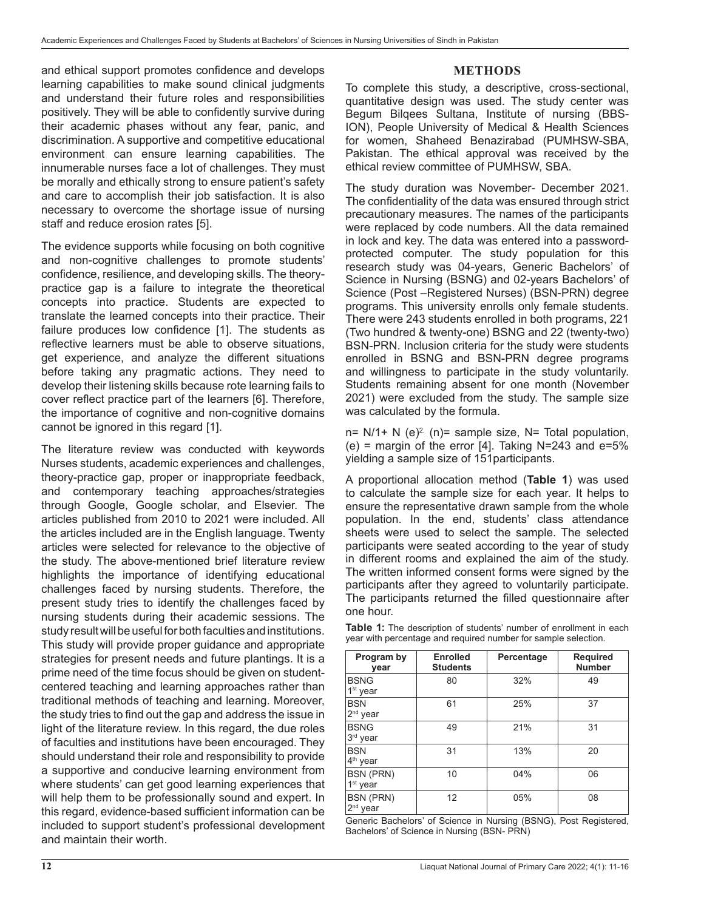#### **METHODS**

and ethical support promotes confidence and develops learning capabilities to make sound clinical judgments and understand their future roles and responsibilities positively. They will be able to confidently survive during their academic phases without any fear, panic, and discrimination. A supportive and competitive educational environment can ensure learning capabilities. The innumerable nurses face a lot of challenges. They must be morally and ethically strong to ensure patient's safety and care to accomplish their job satisfaction. It is also necessary to overcome the shortage issue of nursing staff and reduce erosion rates [5].

The evidence supports while focusing on both cognitive and non-cognitive challenges to promote students' confidence, resilience, and developing skills. The theorypractice gap is a failure to integrate the theoretical concepts into practice. Students are expected to translate the learned concepts into their practice. Their failure produces low confidence [1]. The students as reflective learners must be able to observe situations, get experience, and analyze the different situations before taking any pragmatic actions. They need to develop their listening skills because rote learning fails to cover reflect practice part of the learners [6]. Therefore, the importance of cognitive and non-cognitive domains cannot be ignored in this regard [1].

The literature review was conducted with keywords Nurses students, academic experiences and challenges, theory-practice gap, proper or inappropriate feedback, and contemporary teaching approaches/strategies through Google, Google scholar, and Elsevier. The articles published from 2010 to 2021 were included. All the articles included are in the English language. Twenty articles were selected for relevance to the objective of the study. The above-mentioned brief literature review highlights the importance of identifying educational challenges faced by nursing students. Therefore, the present study tries to identify the challenges faced by nursing students during their academic sessions. The study result will be useful for both faculties and institutions. This study will provide proper guidance and appropriate strategies for present needs and future plantings. It is a prime need of the time focus should be given on studentcentered teaching and learning approaches rather than traditional methods of teaching and learning. Moreover, the study tries to find out the gap and address the issue in light of the literature review. In this regard, the due roles of faculties and institutions have been encouraged. They should understand their role and responsibility to provide a supportive and conducive learning environment from where students' can get good learning experiences that will help them to be professionally sound and expert. In this regard, evidence-based sufficient information can be included to support student's professional development and maintain their worth.

To complete this study, a descriptive, cross-sectional, quantitative design was used. The study center was Begum Bilqees Sultana, Institute of nursing (BBS-ION), People University of Medical & Health Sciences for women, Shaheed Benazirabad (PUMHSW-SBA, Pakistan. The ethical approval was received by the ethical review committee of PUMHSW, SBA.

The study duration was November- December 2021. The confidentiality of the data was ensured through strict precautionary measures. The names of the participants were replaced by code numbers. All the data remained in lock and key. The data was entered into a passwordprotected computer. The study population for this research study was 04-years, Generic Bachelors' of Science in Nursing (BSNG) and 02-years Bachelors' of Science (Post –Registered Nurses) (BSN-PRN) degree programs. This university enrolls only female students. There were 243 students enrolled in both programs, 221 (Two hundred & twenty-one) BSNG and 22 (twenty-two) BSN-PRN. Inclusion criteria for the study were students enrolled in BSNG and BSN-PRN degree programs and willingness to participate in the study voluntarily. Students remaining absent for one month (November 2021) were excluded from the study. The sample size was calculated by the formula.

 $n= N/1+ N$  (e)<sup>2</sup> (n)= sample size, N= Total population, (e) = margin of the error [4]. Taking  $N=243$  and e=5% yielding a sample size of 151participants.

A proportional allocation method (**Table 1**) was used to calculate the sample size for each year. It helps to ensure the representative drawn sample from the whole population. In the end, students' class attendance sheets were used to select the sample. The selected participants were seated according to the year of study in different rooms and explained the aim of the study. The written informed consent forms were signed by the participants after they agreed to voluntarily participate. The participants returned the filled questionnaire after one hour.

| Program by<br>year                       | <b>Enrolled</b><br><b>Students</b> | Percentage | <b>Required</b><br><b>Number</b> |
|------------------------------------------|------------------------------------|------------|----------------------------------|
| <b>BSNG</b><br>$1st$ year                | 80                                 | 32%        | 49                               |
| <b>BSN</b><br>2 <sup>nd</sup> year       | 61                                 | 25%        | 37                               |
| <b>BSNG</b><br>3 <sup>rd</sup> year      | 49                                 | 21%        | 31                               |
| <b>BSN</b><br>4 <sup>th</sup> year       | 31                                 | 13%        | 20                               |
| <b>BSN (PRN)</b><br>1 <sup>st</sup> year | 10                                 | 04%        | 06                               |
| <b>BSN (PRN)</b><br>2 <sup>nd</sup> year | 12                                 | 05%        | 08                               |

**Table 1:** The description of students' number of enrollment in each year with percentage and required number for sample selection.

Generic Bachelors' of Science in Nursing (BSNG), Post Registered, Bachelors' of Science in Nursing (BSN- PRN)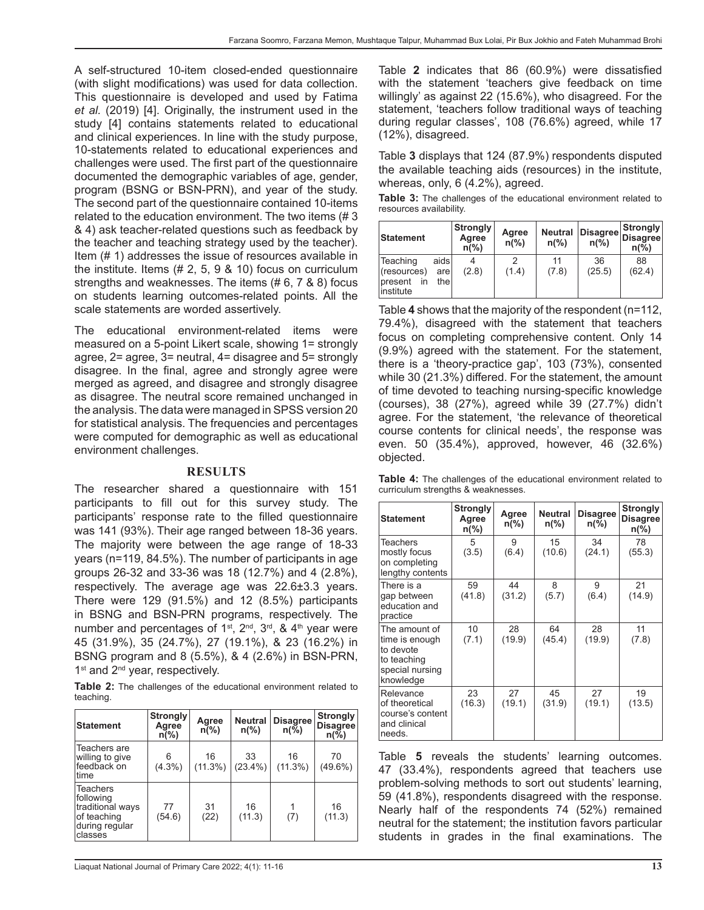A self-structured 10-item closed-ended questionnaire (with slight modifications) was used for data collection. This questionnaire is developed and used by Fatima *et al.* (2019) [4]. Originally, the instrument used in the study [4] contains statements related to educational and clinical experiences. In line with the study purpose, 10-statements related to educational experiences and challenges were used. The first part of the questionnaire documented the demographic variables of age, gender, program (BSNG or BSN-PRN), and year of the study. The second part of the questionnaire contained 10-items related to the education environment. The two items (# 3 & 4) ask teacher-related questions such as feedback by the teacher and teaching strategy used by the teacher). Item (# 1) addresses the issue of resources available in the institute. Items (# 2, 5, 9 & 10) focus on curriculum strengths and weaknesses. The items (# 6, 7 & 8) focus on students learning outcomes-related points. All the scale statements are worded assertively.

The educational environment-related items were measured on a 5-point Likert scale, showing 1= strongly agree, 2= agree, 3= neutral, 4= disagree and 5= strongly disagree. In the final, agree and strongly agree were merged as agreed, and disagree and strongly disagree as disagree. The neutral score remained unchanged in the analysis. The data were managed in SPSS version 20 for statistical analysis. The frequencies and percentages were computed for demographic as well as educational environment challenges.

#### **RESULTS**

The researcher shared a questionnaire with 151 participants to fill out for this survey study. The participants' response rate to the filled questionnaire was 141 (93%). Their age ranged between 18-36 years. The majority were between the age range of 18-33 years (n=119, 84.5%). The number of participants in age groups 26-32 and 33-36 was 18 (12.7%) and 4 (2.8%), respectively. The average age was 22.6±3.3 years. There were 129 (91.5%) and 12 (8.5%) participants in BSNG and BSN-PRN programs, respectively. The number and percentages of  $1^{st}$ ,  $2^{nd}$ ,  $3^{rd}$ , &  $4^{th}$  year were 45 (31.9%), 35 (24.7%), 27 (19.1%), & 23 (16.2%) in BSNG program and 8 (5.5%), & 4 (2.6%) in BSN-PRN, 1<sup>st</sup> and 2<sup>nd</sup> year, respectively.

**Table 2:** The challenges of the educational environment related to teaching.

| <b>Statement</b>                                                                             | <b>Strongly</b><br>Agree<br>$n\frac{6}{6}$ | Agree<br>$n\sqrt{6}$ | <b>Neutral</b><br>$n\frac{9}{6}$ | <b>Disagree</b><br>$n\sqrt[6]{6}$ | <b>Strongly</b><br><b>Disagree</b><br>$n\frac{9}{6}$ |
|----------------------------------------------------------------------------------------------|--------------------------------------------|----------------------|----------------------------------|-----------------------------------|------------------------------------------------------|
| Teachers are<br>willing to give<br>feedback on<br>time                                       | 6<br>$(4.3\%)$                             | 16<br>(11.3%)        | 33<br>$(23.4\%)$                 | 16<br>$(11.3\%)$                  | 70<br>$(49.6\%)$                                     |
| <b>Teachers</b><br>following<br>traditional ways<br>of teaching<br>during regular<br>classes | 77<br>(54.6)                               | 31<br>(22)           | 16<br>(11.3)                     | (7)                               | 16<br>(11.3)                                         |

Table **2** indicates that 86 (60.9%) were dissatisfied with the statement 'teachers give feedback on time willingly' as against 22 (15.6%), who disagreed. For the statement, 'teachers follow traditional ways of teaching during regular classes', 108 (76.6%) agreed, while 17 (12%), disagreed.

Table **3** displays that 124 (87.9%) respondents disputed the available teaching aids (resources) in the institute, whereas, only, 6 (4.2%), agreed.

**Table 3:** The challenges of the educational environment related to resources availability.

| Statement                                              |                       | <b>Strongly</b><br>Agree<br>$n\frac{9}{6}$ | Agree<br>$n\frac{9}{6}$ | <b>Neutral</b><br>$n\frac{9}{6}$ | Disagree<br>$n\frac{9}{6}$ | Strongly<br><b>Disagree</b><br>$n\frac{6}{6}$ |
|--------------------------------------------------------|-----------------------|--------------------------------------------|-------------------------|----------------------------------|----------------------------|-----------------------------------------------|
| Teaching<br>(resources)<br>Ipresent<br>in<br>Institute | aidsl<br>arel<br>thel | 4<br>(2.8)                                 | (1.4)                   | 11<br>(7.8)                      | 36<br>(25.5)               | 88<br>(62.4)                                  |

Table **4** shows that the majority of the respondent (n=112, 79.4%), disagreed with the statement that teachers focus on completing comprehensive content. Only 14 (9.9%) agreed with the statement. For the statement, there is a 'theory-practice gap', 103 (73%), consented while 30 (21.3%) differed. For the statement, the amount of time devoted to teaching nursing-specific knowledge (courses), 38 (27%), agreed while 39 (27.7%) didn't agree. For the statement, 'the relevance of theoretical course contents for clinical needs', the response was even. 50 (35.4%), approved, however, 46 (32.6%) objected.

|  |                                    |  | Table 4: The challenges of the educational environment related to |  |
|--|------------------------------------|--|-------------------------------------------------------------------|--|
|  | curriculum strengths & weaknesses. |  |                                                                   |  |

| <b>Statement</b>                                                                            | Strongly<br>Agree<br>n(%) | Agree<br>$n\frac{9}{6}$ | <b>Neutral</b><br>$n\frac{6}{6}$ | <b>Disagree</b><br>$n\frac{9}{6}$ | <b>Strongly</b><br><b>Disagree</b><br>$n\frac{6}{6}$ |
|---------------------------------------------------------------------------------------------|---------------------------|-------------------------|----------------------------------|-----------------------------------|------------------------------------------------------|
| <b>Teachers</b><br>mostly focus<br>on completing<br>lengthy contents                        | 5<br>(3.5)                | 9<br>(6.4)              | 15<br>(10.6)                     | 34<br>(24.1)                      | 78<br>(55.3)                                         |
| There is a<br>gap between<br>education and<br>practice                                      | 59<br>(41.8)              | 44<br>(31.2)            | 8<br>(5.7)                       | 9<br>(6.4)                        | 21<br>(14.9)                                         |
| The amount of<br>time is enough<br>to devote<br>to teaching<br>special nursing<br>knowledge | 10<br>(7.1)               | 28<br>(19.9)            | 64<br>(45.4)                     | 28<br>(19.9)                      | 11<br>(7.8)                                          |
| Relevance<br>of theoretical<br>course's content<br>and clinical<br>needs.                   | 23<br>(16.3)              | 27<br>(19.1)            | 45<br>(31.9)                     | 27<br>(19.1)                      | 19<br>(13.5)                                         |

Table **5** reveals the students' learning outcomes. 47 (33.4%), respondents agreed that teachers use problem-solving methods to sort out students' learning, 59 (41.8%), respondents disagreed with the response. Nearly half of the respondents 74 (52%) remained neutral for the statement; the institution favors particular students in grades in the final examinations. The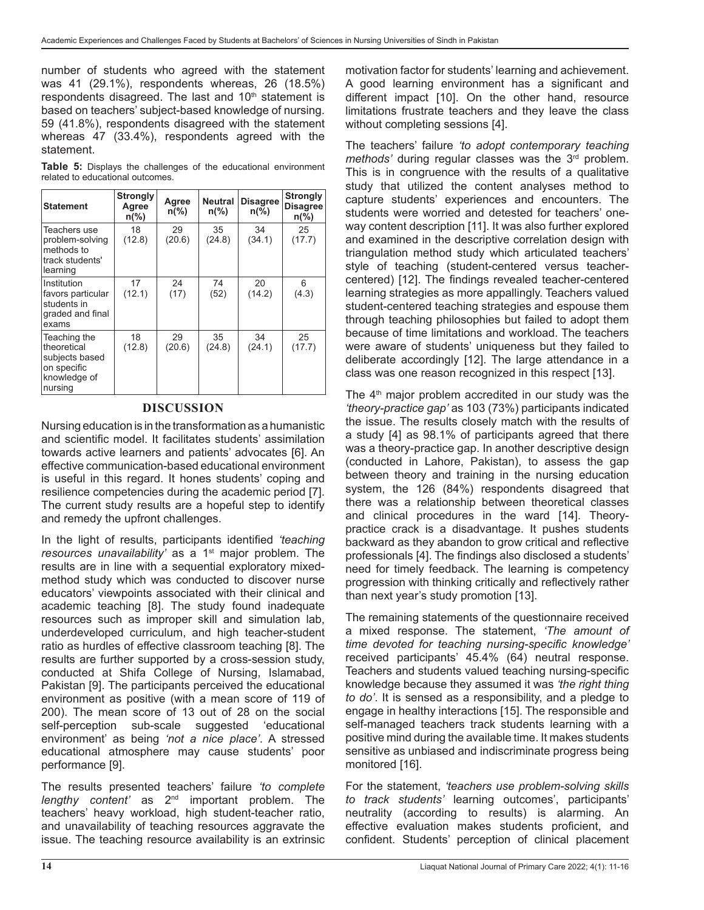number of students who agreed with the statement was 41 (29.1%), respondents whereas, 26 (18.5%) respondents disagreed. The last and  $10<sup>th</sup>$  statement is based on teachers' subject-based knowledge of nursing. 59 (41.8%), respondents disagreed with the statement whereas 47 (33.4%), respondents agreed with the statement.

**Table 5:** Displays the challenges of the educational environment related to educational outcomes.

| <b>Statement</b>                                                                        | <b>Strongly</b><br>Agree<br>$n\frac{9}{6}$ | Agree<br>$n\frac{9}{6}$ | <b>Neutral</b><br>$n\frac{9}{6}$ | <b>Disagree</b><br>$n\frac{6}{6}$ | <b>Strongly</b><br><b>Disagree</b><br>$n\frac{9}{6}$ |
|-----------------------------------------------------------------------------------------|--------------------------------------------|-------------------------|----------------------------------|-----------------------------------|------------------------------------------------------|
| Teachers use<br>problem-solving<br>methods to<br>track students'<br>learning            | 18<br>(12.8)                               | 29<br>(20.6)            | 35<br>(24.8)                     | 34<br>(34.1)                      | 25<br>(17.7)                                         |
| Institution<br>favors particular<br>students in<br>graded and final<br>exams            | 17<br>(12.1)                               | 24<br>(17)              | 74<br>(52)                       | 20<br>(14.2)                      | 6<br>(4.3)                                           |
| Teaching the<br>theoretical<br>subjects based<br>on specific<br>knowledge of<br>nursing | 18<br>(12.8)                               | 29<br>(20.6)            | 35<br>(24.8)                     | 34<br>(24.1)                      | 25<br>(17.7)                                         |

## **DISCUSSION**

Nursing education is in the transformation as a humanistic and scientific model. It facilitates students' assimilation towards active learners and patients' advocates [6]. An effective communication-based educational environment is useful in this regard. It hones students' coping and resilience competencies during the academic period [7]. The current study results are a hopeful step to identify and remedy the upfront challenges.

In the light of results, participants identified *'teaching*  resources unavailability' as a 1<sup>st</sup> major problem. The results are in line with a sequential exploratory mixedmethod study which was conducted to discover nurse educators' viewpoints associated with their clinical and academic teaching [8]. The study found inadequate resources such as improper skill and simulation lab, underdeveloped curriculum, and high teacher-student ratio as hurdles of effective classroom teaching [8]. The results are further supported by a cross-session study, conducted at Shifa College of Nursing, Islamabad, Pakistan [9]. The participants perceived the educational environment as positive (with a mean score of 119 of 200). The mean score of 13 out of 28 on the social self-perception sub-scale suggested 'educational environment' as being *'not a nice place'*. A stressed educational atmosphere may cause students' poor performance [9].

The results presented teachers' failure *'to complete lengthy content'* as 2nd important problem. The teachers' heavy workload, high student-teacher ratio, and unavailability of teaching resources aggravate the issue. The teaching resource availability is an extrinsic

motivation factor for students' learning and achievement. A good learning environment has a significant and different impact [10]. On the other hand, resource limitations frustrate teachers and they leave the class without completing sessions [4].

The teachers' failure *'to adopt contemporary teaching methods'* during regular classes was the 3<sup>rd</sup> problem. This is in congruence with the results of a qualitative study that utilized the content analyses method to capture students' experiences and encounters. The students were worried and detested for teachers' oneway content description [11]. It was also further explored and examined in the descriptive correlation design with triangulation method study which articulated teachers' style of teaching (student-centered versus teachercentered) [12]. The findings revealed teacher-centered learning strategies as more appallingly. Teachers valued student-centered teaching strategies and espouse them through teaching philosophies but failed to adopt them because of time limitations and workload. The teachers were aware of students' uniqueness but they failed to deliberate accordingly [12]. The large attendance in a class was one reason recognized in this respect [13].

The  $4<sup>th</sup>$  major problem accredited in our study was the *'theory-practice gap'* as 103 (73%) participants indicated the issue. The results closely match with the results of a study [4] as 98.1% of participants agreed that there was a theory-practice gap. In another descriptive design (conducted in Lahore, Pakistan), to assess the gap between theory and training in the nursing education system, the 126 (84%) respondents disagreed that there was a relationship between theoretical classes and clinical procedures in the ward [14]. Theorypractice crack is a disadvantage. It pushes students backward as they abandon to grow critical and reflective professionals [4]. The findings also disclosed a students' need for timely feedback. The learning is competency progression with thinking critically and reflectively rather than next year's study promotion [13].

The remaining statements of the questionnaire received a mixed response. The statement, *'The amount of time devoted for teaching nursing-specific knowledge'*  received participants' 45.4% (64) neutral response. Teachers and students valued teaching nursing-specific knowledge because they assumed it was *'the right thing to do'*. It is sensed as a responsibility, and a pledge to engage in healthy interactions [15]. The responsible and self-managed teachers track students learning with a positive mind during the available time. It makes students sensitive as unbiased and indiscriminate progress being monitored [16].

For the statement, *'teachers use problem-solving skills to track students'* learning outcomes', participants' neutrality (according to results) is alarming. An effective evaluation makes students proficient, and confident. Students' perception of clinical placement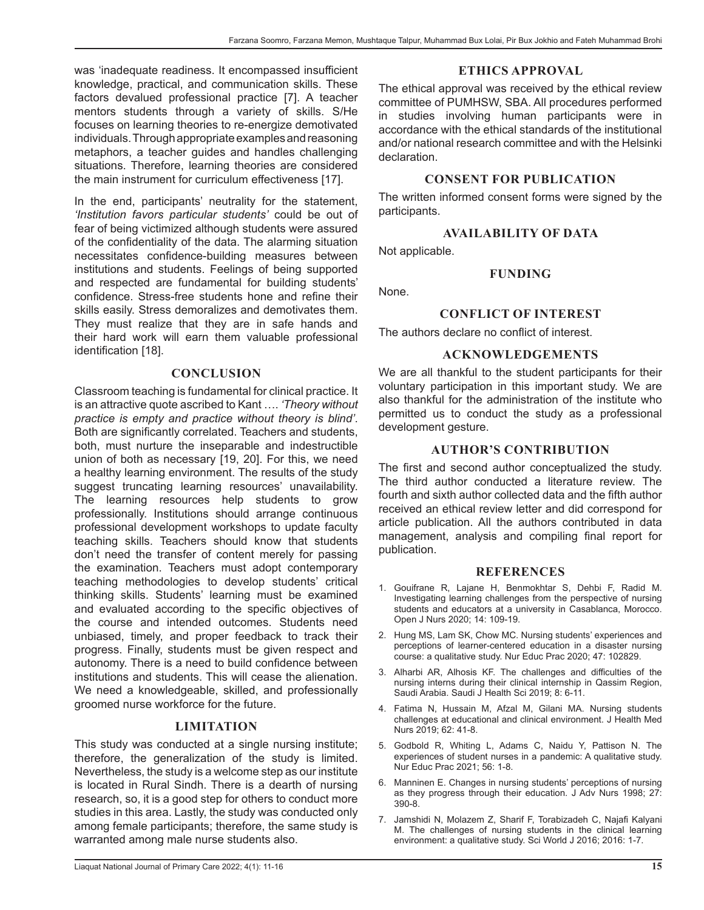was 'inadequate readiness. It encompassed insufficient knowledge, practical, and communication skills. These factors devalued professional practice [7]. A teacher mentors students through a variety of skills. S/He focuses on learning theories to re-energize demotivated individuals. Through appropriate examples and reasoning metaphors, a teacher guides and handles challenging situations. Therefore, learning theories are considered the main instrument for curriculum effectiveness [17].

In the end, participants' neutrality for the statement, *'Institution favors particular students'* could be out of fear of being victimized although students were assured of the confidentiality of the data. The alarming situation necessitates confidence-building measures between institutions and students. Feelings of being supported and respected are fundamental for building students' confidence. Stress-free students hone and refine their skills easily. Stress demoralizes and demotivates them. They must realize that they are in safe hands and their hard work will earn them valuable professional identification [18].

# **CONCLUSION**

Classroom teaching is fundamental for clinical practice. It is an attractive quote ascribed to Kant …. *'Theory without practice is empty and practice without theory is blind'*. Both are significantly correlated. Teachers and students, both, must nurture the inseparable and indestructible union of both as necessary [19, 20]. For this, we need a healthy learning environment. The results of the study suggest truncating learning resources' unavailability. The learning resources help students to grow professionally. Institutions should arrange continuous professional development workshops to update faculty teaching skills. Teachers should know that students don't need the transfer of content merely for passing the examination. Teachers must adopt contemporary teaching methodologies to develop students' critical thinking skills. Students' learning must be examined and evaluated according to the specific objectives of the course and intended outcomes. Students need unbiased, timely, and proper feedback to track their progress. Finally, students must be given respect and autonomy. There is a need to build confidence between institutions and students. This will cease the alienation. We need a knowledgeable, skilled, and professionally groomed nurse workforce for the future.

# **LIMITATION**

This study was conducted at a single nursing institute; therefore, the generalization of the study is limited. Nevertheless, the study is a welcome step as our institute is located in Rural Sindh. There is a dearth of nursing research, so, it is a good step for others to conduct more studies in this area. Lastly, the study was conducted only among female participants; therefore, the same study is warranted among male nurse students also.

## **ETHICS APPROVAL**

The ethical approval was received by the ethical review committee of PUMHSW, SBA. All procedures performed in studies involving human participants were in accordance with the ethical standards of the institutional and/or national research committee and with the Helsinki declaration.

## **CONSENT FOR PUBLICATION**

The written informed consent forms were signed by the participants.

## **AVAILABILITY OF DATA**

Not applicable.

#### **FUNDING**

None.

#### **CONFLICT OF INTEREST**

The authors declare no conflict of interest.

#### **ACKNOWLEDGEMENTS**

We are all thankful to the student participants for their voluntary participation in this important study. We are also thankful for the administration of the institute who permitted us to conduct the study as a professional development gesture.

#### **AUTHOR'S CONTRIBUTION**

The first and second author conceptualized the study. The third author conducted a literature review. The fourth and sixth author collected data and the fifth author received an ethical review letter and did correspond for article publication. All the authors contributed in data management, analysis and compiling final report for publication.

#### **REFERENCES**

- 1. Gouifrane R, Lajane H, Benmokhtar S, Dehbi F, Radid M. Investigating learning challenges from the perspective of nursing students and educators at a university in Casablanca, Morocco. Open J Nurs 2020; 14: 109-19.
- 2. Hung MS, Lam SK, Chow MC. Nursing students' experiences and perceptions of learner-centered education in a disaster nursing course: a qualitative study. Nur Educ Prac 2020; 47: 102829.
- 3. Alharbi AR, Alhosis KF. The challenges and difficulties of the nursing interns during their clinical internship in Qassim Region, Saudi Arabia. Saudi J Health Sci 2019; 8: 6-11.
- 4. Fatima N, Hussain M, Afzal M, Gilani MA. Nursing students challenges at educational and clinical environment. J Health Med Nurs 2019; 62: 41-8.
- 5. Godbold R, Whiting L, Adams C, Naidu Y, Pattison N. The experiences of student nurses in a pandemic: A qualitative study. Nur Educ Prac 2021; 56: 1-8.
- 6. Manninen E. Changes in nursing students' perceptions of nursing as they progress through their education. J Adv Nurs 1998; 27: 390-8.
- 7. Jamshidi N, Molazem Z, Sharif F, Torabizadeh C, Najafi Kalyani M. The challenges of nursing students in the clinical learning environment: a qualitative study. Sci World J 2016; 2016: 1-7.